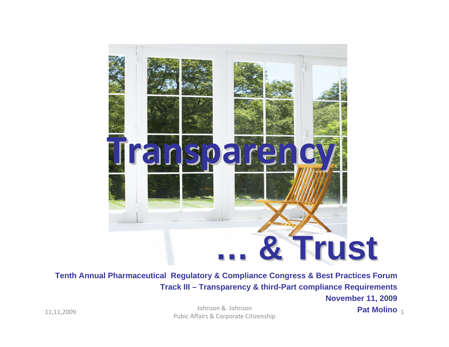

**Tenth Annual Pharmaceutical Regulatory & Compliance Congress & Best Practices Forum Track III – Transparency & third-Part compliance Requirements**

### **November 11, 2009**

**Pat Molino**

11,11,2009 Johnson & Johnson & Johnson & Johnson & Johnson<br>Pubic Affairs & Corporate Citizenship 1996 Public Affairs & Corporate Citizenship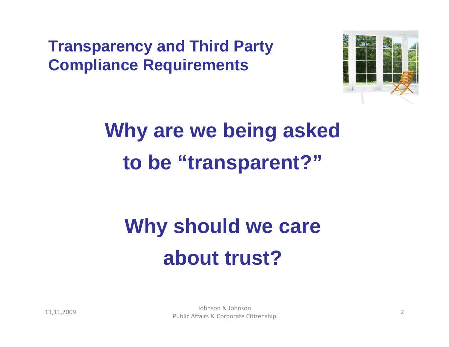**Transparency and Third Party Compliance Requirements**



# **Why are we being asked to be "transparent?"**

# **Why should we care about trust?**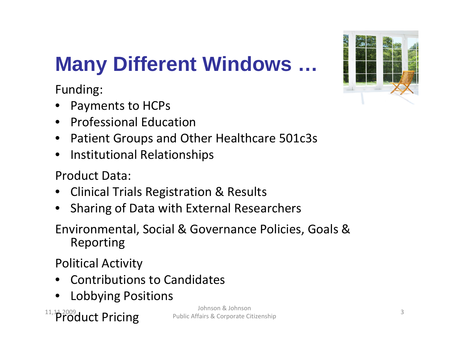## **Many Different Windows …**

Funding:

- Payments to HCPs
- Professional Education
- Patient Groups and Other Healthcare 501c3s
- Institutional Relationships

Product Data:

- Clinical Trials Registration & Results
- Sharing of Data with External Researchers

Environmental, Social & Governance Policies, Goals & Reporting

Political Activity

- Contributions to Candidates
- Lobbying Positions

 $^{\scriptscriptstyle 11,11,2009}$ Oduct Pricing

 Johnson & Johnson Public Affairs & Corporate Citizenship

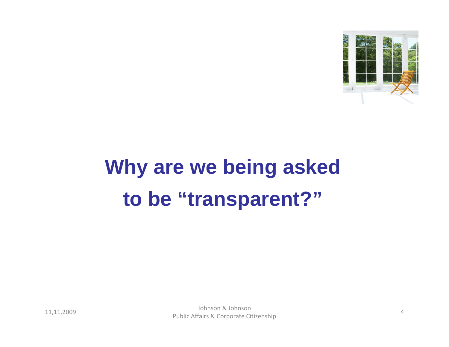

# **Why are we being asked to be "transparent?"**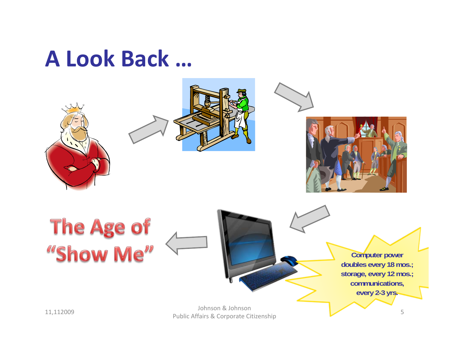## **A Look Back …**

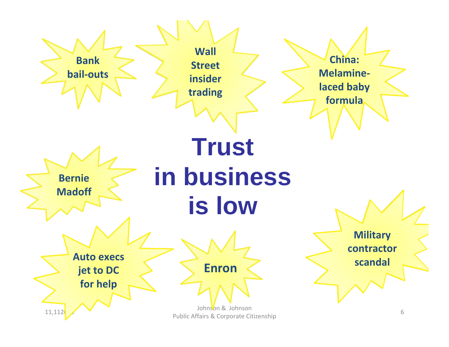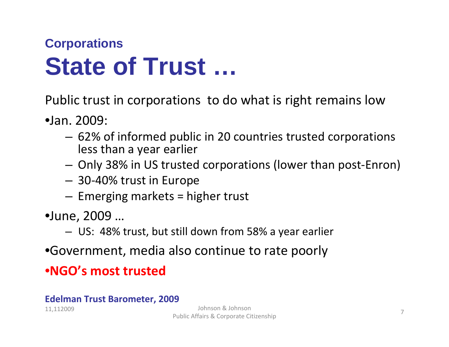### **Corporations State of Trust …**

Public trust in corporations to do what is right remains low

- •Jan. 2009:
	- 62% of informed public in 20 countries trusted corporations less than <sup>a</sup> year earlier
	- Only 38% in US trusted corporations (lower than post‐Enron)
	- 30‐40% trust in Europe
	- Emerging markets <sup>=</sup> higher trust
- •June, 2009 …
	- US: 48% trust, but still down from 58% <sup>a</sup> year earlier
- •Government, media also continue to rate poorly

### •**NGO's most trusted**

#### **Edelman Trust Barometer, 2009**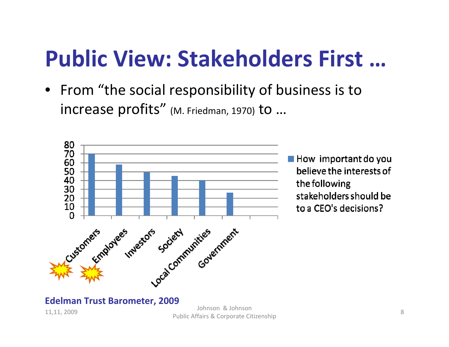# **Public View: Stakeholders First …**

• From "the social responsibility of business is to <code>increase</code> profits" (M. Friedman, 1970) to  $...$ 



 $\blacksquare$  How important do you believe the interests of the following stakeholders should be to a CEO's decisions?

#### **Edelman Trust Barometer, 2009**

11,11, <sup>2009</sup> Johnson & Johnson Public Affairs & Corporate Citizenship <sup>8</sup>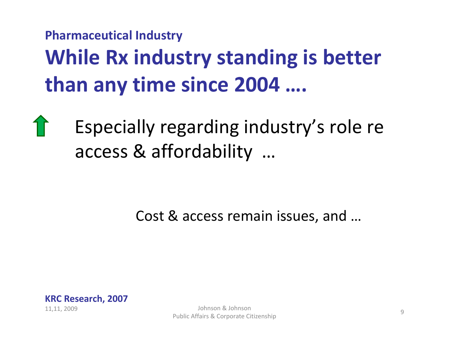## **Pharmaceutical Industry While Rx industry standing is better than any time since 2004 ….**

Especially regarding industry's role re access & affordability …

Cost & access remain issues, and …



Public Affairs & Corporate Citizenship <sup>9</sup>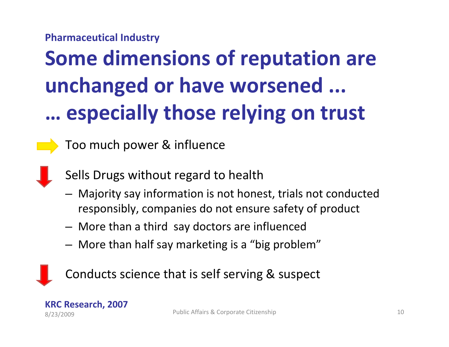#### **Pharmaceutical Industry**

# **Some dimensions of reputation are unchanged or have worsened ... … especially those relying on trust**

Too much power & influence

Sells Drugs without regard to health

- Majority say information is not honest, trials not conducted responsibly, companies do not ensure safety of product
- More than <sup>a</sup> third say doctors are influenced
- More than half say marketing is <sup>a</sup> "big problem"



Conducts science that is self serving & suspect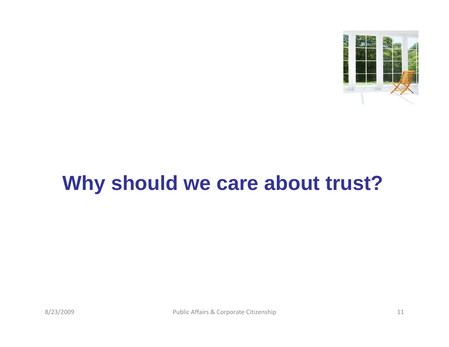

## **Why should we care about trust?**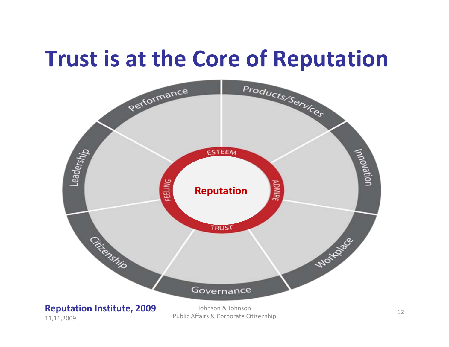## **Trust is at the Core of Reputation**



#### **Reputation Institute, 2009** 11,11,2009

Johnson & Johnson Public Affairs & Corporate Citizenship <sup>12</sup>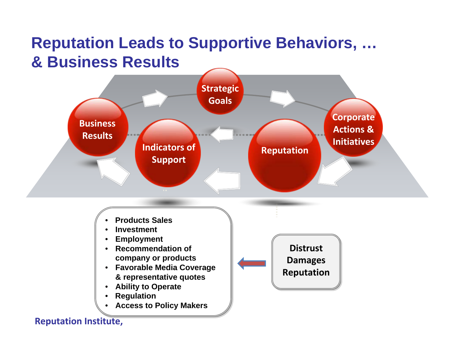### **Reputation Leads to Supportive Behaviors, … & Business Results**



- **Products Sales Products Sales**
- **Investment Investment**
- **Employment Employment**
- **Recommendation of Recommendation of company or products company or products**
- **Favorable Media Coverage Favorable Media Coverage & representative quotes & representative quotes**
- **Ability to Operate Ability to Operate**
- **Regulation Regulation**
- **Access to Policy Makers Access to Policy Makers**

**DistrustDistrustDamages Damages Reputation Reputation**

#### **Reputation Institute,**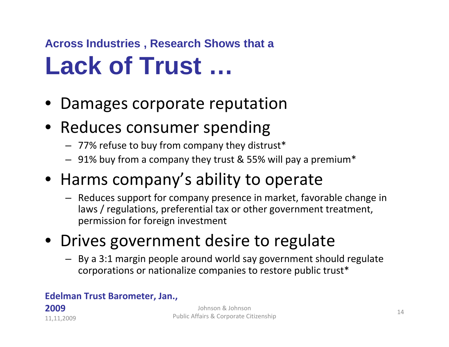### **Across Industries , Research Shows that a**

## **Lack of Trust …**

- Damages corporate reputation
- Reduces consumer spending
	- $-$  77% refuse to buy from company they distrust $^\ast$
	- 91% buy from a company they trust & 55% will pay a premium\*
- Harms company's ability to operate
	- Reduces support for company presence in market, favorable change in laws / regulations, preferential tax or other government treatment, permission for foreign investment
- Drives government desire to regulate
	- By a 3:1 margin people around world say government should regulate corporations or nationalize companies to restore public trust\*

#### **Edelman Trust Barometer, Jan.,**

#### **2009**11,11,2009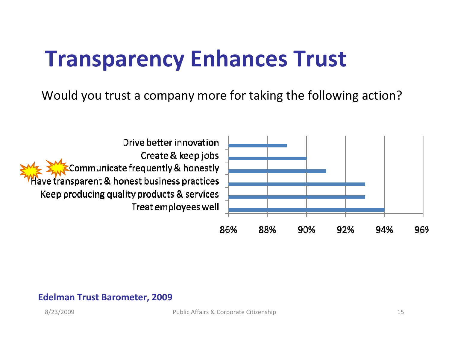## **Transparency Enhances Trust**

Would you trust a company more for taking the following action?



#### **Edelman Trust Barometer, 2009**